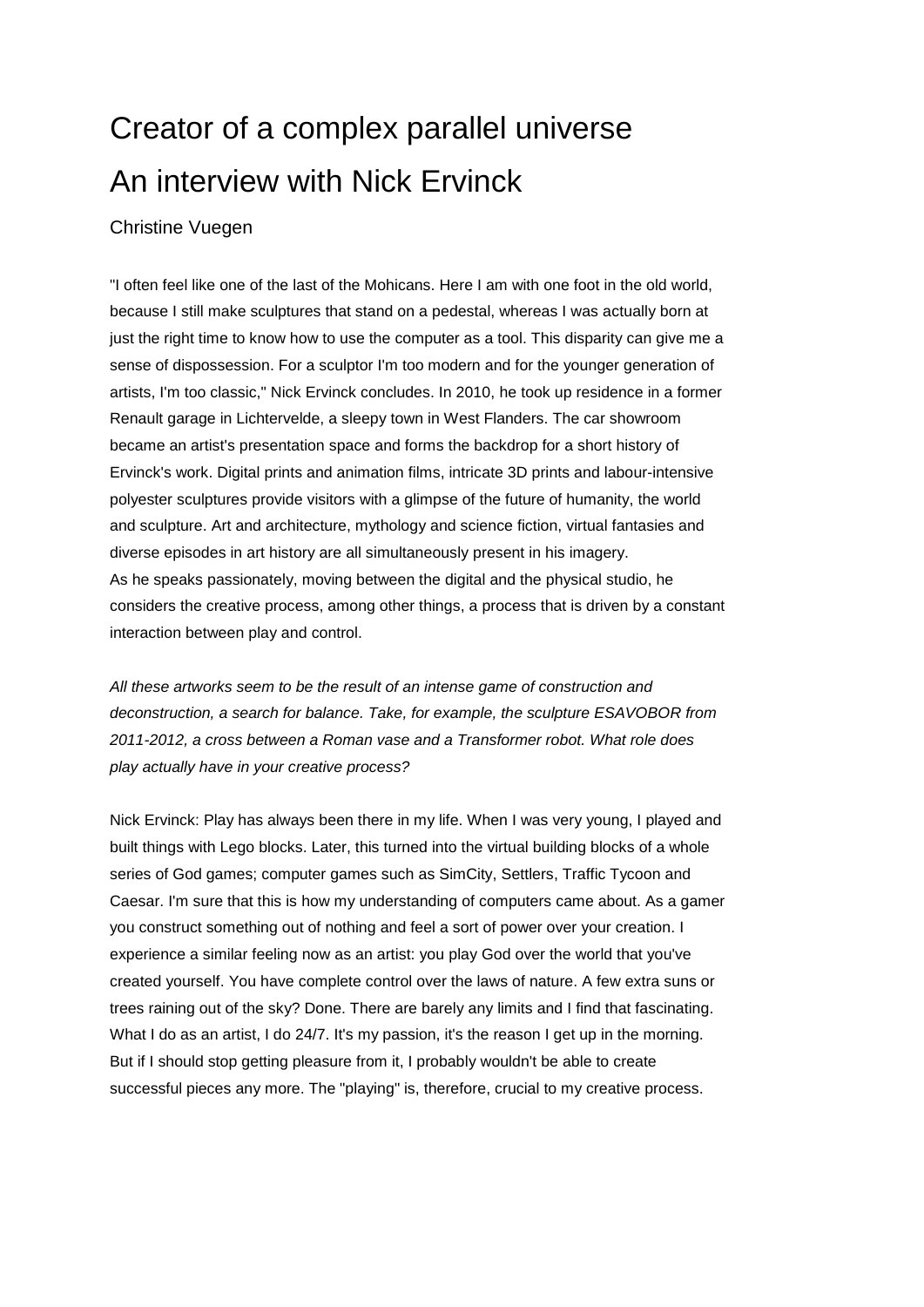# Creator of a complex parallel universe An interview with Nick Ervinck

#### Christine Vuegen

"I often feel like one of the last of the Mohicans. Here I am with one foot in the old world, because I still make sculptures that stand on a pedestal, whereas I was actually born at just the right time to know how to use the computer as a tool. This disparity can give me a sense of dispossession. For a sculptor I'm too modern and for the younger generation of artists, I'm too classic," Nick Ervinck concludes. In 2010, he took up residence in a former Renault garage in Lichtervelde, a sleepy town in West Flanders. The car showroom became an artist's presentation space and forms the backdrop for a short history of Ervinck's work. Digital prints and animation films, intricate 3D prints and labour-intensive polyester sculptures provide visitors with a glimpse of the future of humanity, the world and sculpture. Art and architecture, mythology and science fiction, virtual fantasies and diverse episodes in art history are all simultaneously present in his imagery. As he speaks passionately, moving between the digital and the physical studio, he considers the creative process, among other things, a process that is driven by a constant interaction between play and control.

*All these artworks seem to be the result of an intense game of construction and deconstruction, a search for balance. Take, for example, the sculpture ESAVOBOR from 2011-2012, a cross between a Roman vase and a Transformer robot. What role does play actually have in your creative process?* 

Nick Ervinck: Play has always been there in my life. When I was very young, I played and built things with Lego blocks. Later, this turned into the virtual building blocks of a whole series of God games; computer games such as SimCity, Settlers, Traffic Tycoon and Caesar. I'm sure that this is how my understanding of computers came about. As a gamer you construct something out of nothing and feel a sort of power over your creation. I experience a similar feeling now as an artist: you play God over the world that you've created yourself. You have complete control over the laws of nature. A few extra suns or trees raining out of the sky? Done. There are barely any limits and I find that fascinating. What I do as an artist, I do 24/7. It's my passion, it's the reason I get up in the morning. But if I should stop getting pleasure from it, I probably wouldn't be able to create successful pieces any more. The "playing" is, therefore, crucial to my creative process.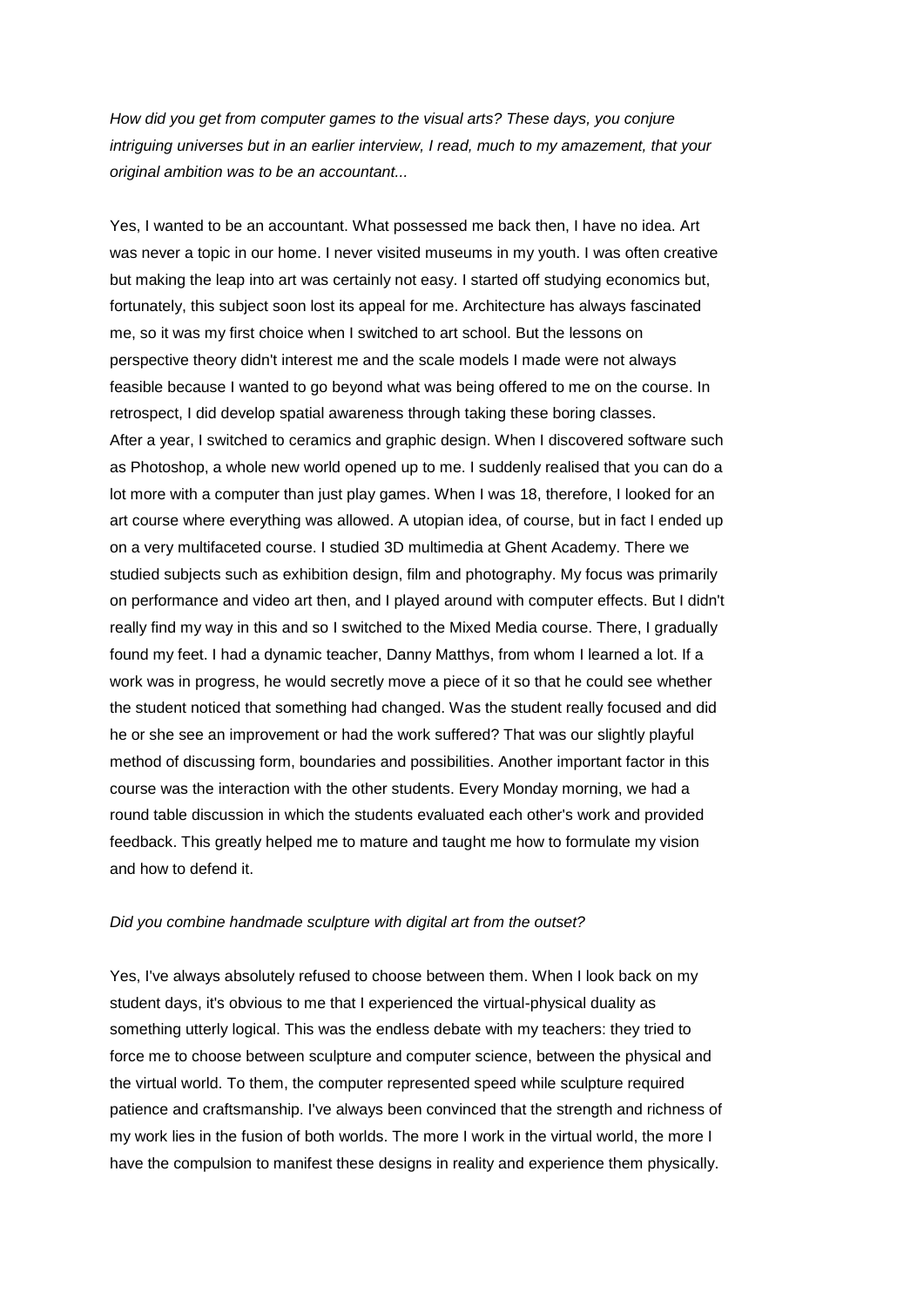*How did you get from computer games to the visual arts? These days, you conjure intriguing universes but in an earlier interview, I read, much to my amazement, that your original ambition was to be an accountant...* 

Yes, I wanted to be an accountant. What possessed me back then, I have no idea. Art was never a topic in our home. I never visited museums in my youth. I was often creative but making the leap into art was certainly not easy. I started off studying economics but, fortunately, this subject soon lost its appeal for me. Architecture has always fascinated me, so it was my first choice when I switched to art school. But the lessons on perspective theory didn't interest me and the scale models I made were not always feasible because I wanted to go beyond what was being offered to me on the course. In retrospect, I did develop spatial awareness through taking these boring classes. After a year, I switched to ceramics and graphic design. When I discovered software such as Photoshop, a whole new world opened up to me. I suddenly realised that you can do a lot more with a computer than just play games. When I was 18, therefore, I looked for an art course where everything was allowed. A utopian idea, of course, but in fact I ended up on a very multifaceted course. I studied 3D multimedia at Ghent Academy. There we studied subjects such as exhibition design, film and photography. My focus was primarily on performance and video art then, and I played around with computer effects. But I didn't really find my way in this and so I switched to the Mixed Media course. There, I gradually found my feet. I had a dynamic teacher, Danny Matthys, from whom I learned a lot. If a work was in progress, he would secretly move a piece of it so that he could see whether the student noticed that something had changed. Was the student really focused and did he or she see an improvement or had the work suffered? That was our slightly playful method of discussing form, boundaries and possibilities. Another important factor in this course was the interaction with the other students. Every Monday morning, we had a round table discussion in which the students evaluated each other's work and provided feedback. This greatly helped me to mature and taught me how to formulate my vision and how to defend it.

#### *Did you combine handmade sculpture with digital art from the outset?*

Yes, I've always absolutely refused to choose between them. When I look back on my student days, it's obvious to me that I experienced the virtual-physical duality as something utterly logical. This was the endless debate with my teachers: they tried to force me to choose between sculpture and computer science, between the physical and the virtual world. To them, the computer represented speed while sculpture required patience and craftsmanship. I've always been convinced that the strength and richness of my work lies in the fusion of both worlds. The more I work in the virtual world, the more I have the compulsion to manifest these designs in reality and experience them physically.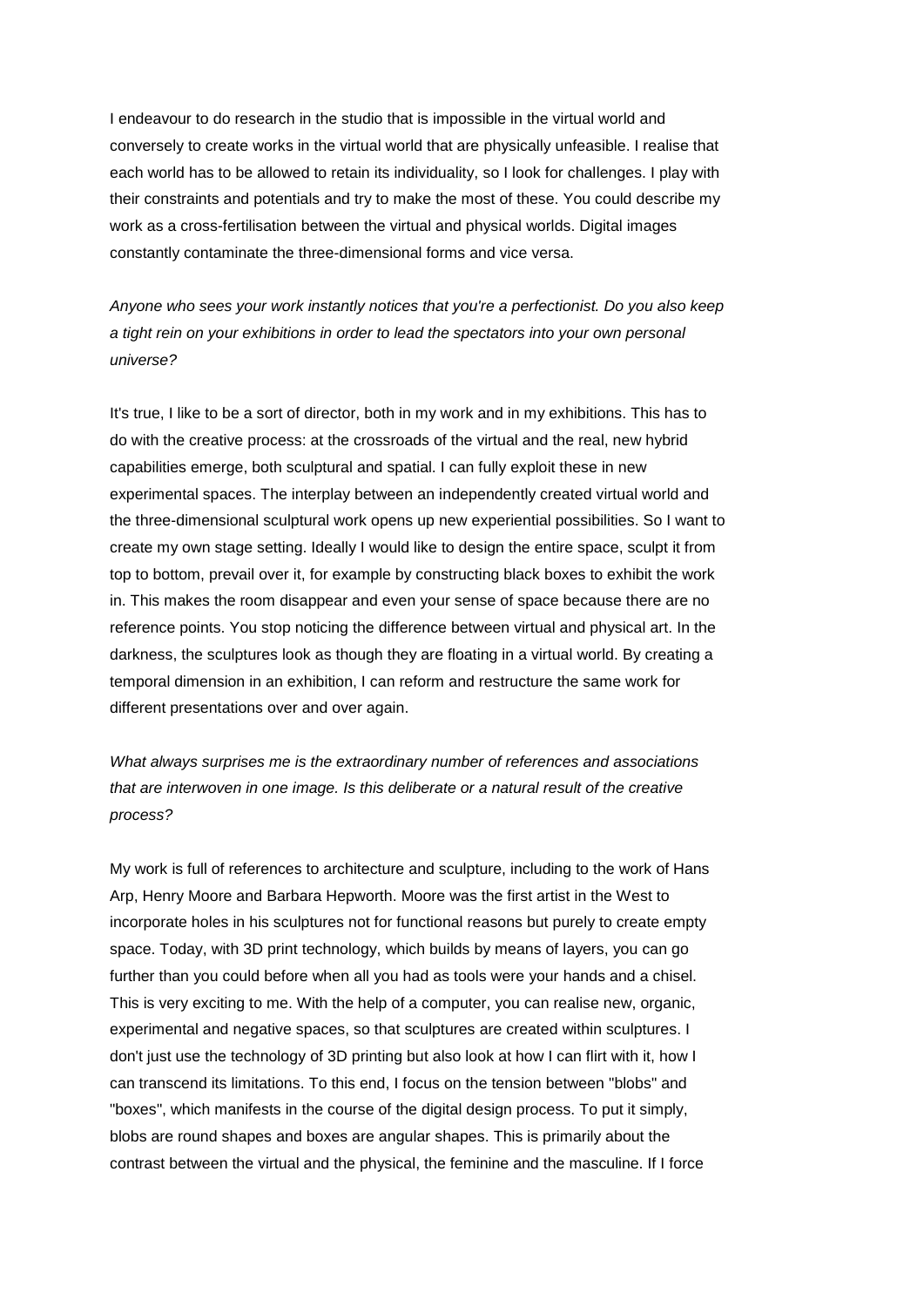I endeavour to do research in the studio that is impossible in the virtual world and conversely to create works in the virtual world that are physically unfeasible. I realise that each world has to be allowed to retain its individuality, so I look for challenges. I play with their constraints and potentials and try to make the most of these. You could describe my work as a cross-fertilisation between the virtual and physical worlds. Digital images constantly contaminate the three-dimensional forms and vice versa.

*Anyone who sees your work instantly notices that you're a perfectionist. Do you also keep a tight rein on your exhibitions in order to lead the spectators into your own personal universe?* 

It's true, I like to be a sort of director, both in my work and in my exhibitions. This has to do with the creative process: at the crossroads of the virtual and the real, new hybrid capabilities emerge, both sculptural and spatial. I can fully exploit these in new experimental spaces. The interplay between an independently created virtual world and the three-dimensional sculptural work opens up new experiential possibilities. So I want to create my own stage setting. Ideally I would like to design the entire space, sculpt it from top to bottom, prevail over it, for example by constructing black boxes to exhibit the work in. This makes the room disappear and even your sense of space because there are no reference points. You stop noticing the difference between virtual and physical art. In the darkness, the sculptures look as though they are floating in a virtual world. By creating a temporal dimension in an exhibition, I can reform and restructure the same work for different presentations over and over again.

*What always surprises me is the extraordinary number of references and associations that are interwoven in one image. Is this deliberate or a natural result of the creative process?* 

My work is full of references to architecture and sculpture, including to the work of Hans Arp, Henry Moore and Barbara Hepworth. Moore was the first artist in the West to incorporate holes in his sculptures not for functional reasons but purely to create empty space. Today, with 3D print technology, which builds by means of layers, you can go further than you could before when all you had as tools were your hands and a chisel. This is very exciting to me. With the help of a computer, you can realise new, organic, experimental and negative spaces, so that sculptures are created within sculptures. I don't just use the technology of 3D printing but also look at how I can flirt with it, how I can transcend its limitations. To this end, I focus on the tension between "blobs" and "boxes", which manifests in the course of the digital design process. To put it simply, blobs are round shapes and boxes are angular shapes. This is primarily about the contrast between the virtual and the physical, the feminine and the masculine. If I force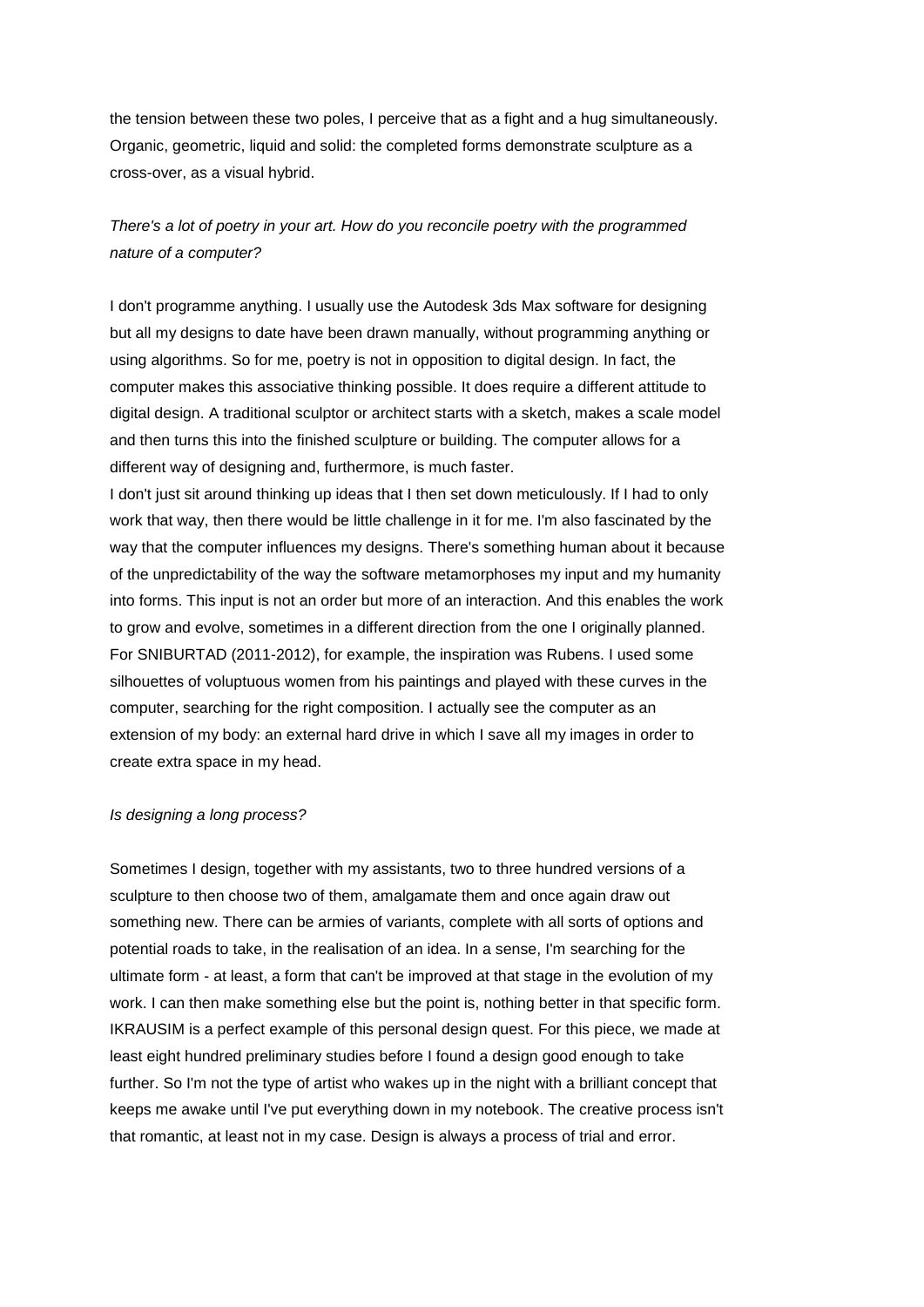the tension between these two poles, I perceive that as a fight and a hug simultaneously. Organic, geometric, liquid and solid: the completed forms demonstrate sculpture as a cross-over, as a visual hybrid.

## *There's a lot of poetry in your art. How do you reconcile poetry with the programmed nature of a computer?*

I don't programme anything. I usually use the Autodesk 3ds Max software for designing but all my designs to date have been drawn manually, without programming anything or using algorithms. So for me, poetry is not in opposition to digital design. In fact, the computer makes this associative thinking possible. It does require a different attitude to digital design. A traditional sculptor or architect starts with a sketch, makes a scale model and then turns this into the finished sculpture or building. The computer allows for a different way of designing and, furthermore, is much faster.

I don't just sit around thinking up ideas that I then set down meticulously. If I had to only work that way, then there would be little challenge in it for me. I'm also fascinated by the way that the computer influences my designs. There's something human about it because of the unpredictability of the way the software metamorphoses my input and my humanity into forms. This input is not an order but more of an interaction. And this enables the work to grow and evolve, sometimes in a different direction from the one I originally planned. For SNIBURTAD (2011-2012), for example, the inspiration was Rubens. I used some silhouettes of voluptuous women from his paintings and played with these curves in the computer, searching for the right composition. I actually see the computer as an extension of my body: an external hard drive in which I save all my images in order to create extra space in my head.

#### *Is designing a long process?*

Sometimes I design, together with my assistants, two to three hundred versions of a sculpture to then choose two of them, amalgamate them and once again draw out something new. There can be armies of variants, complete with all sorts of options and potential roads to take, in the realisation of an idea. In a sense, I'm searching for the ultimate form - at least, a form that can't be improved at that stage in the evolution of my work. I can then make something else but the point is, nothing better in that specific form. IKRAUSIM is a perfect example of this personal design quest. For this piece, we made at least eight hundred preliminary studies before I found a design good enough to take further. So I'm not the type of artist who wakes up in the night with a brilliant concept that keeps me awake until I've put everything down in my notebook. The creative process isn't that romantic, at least not in my case. Design is always a process of trial and error.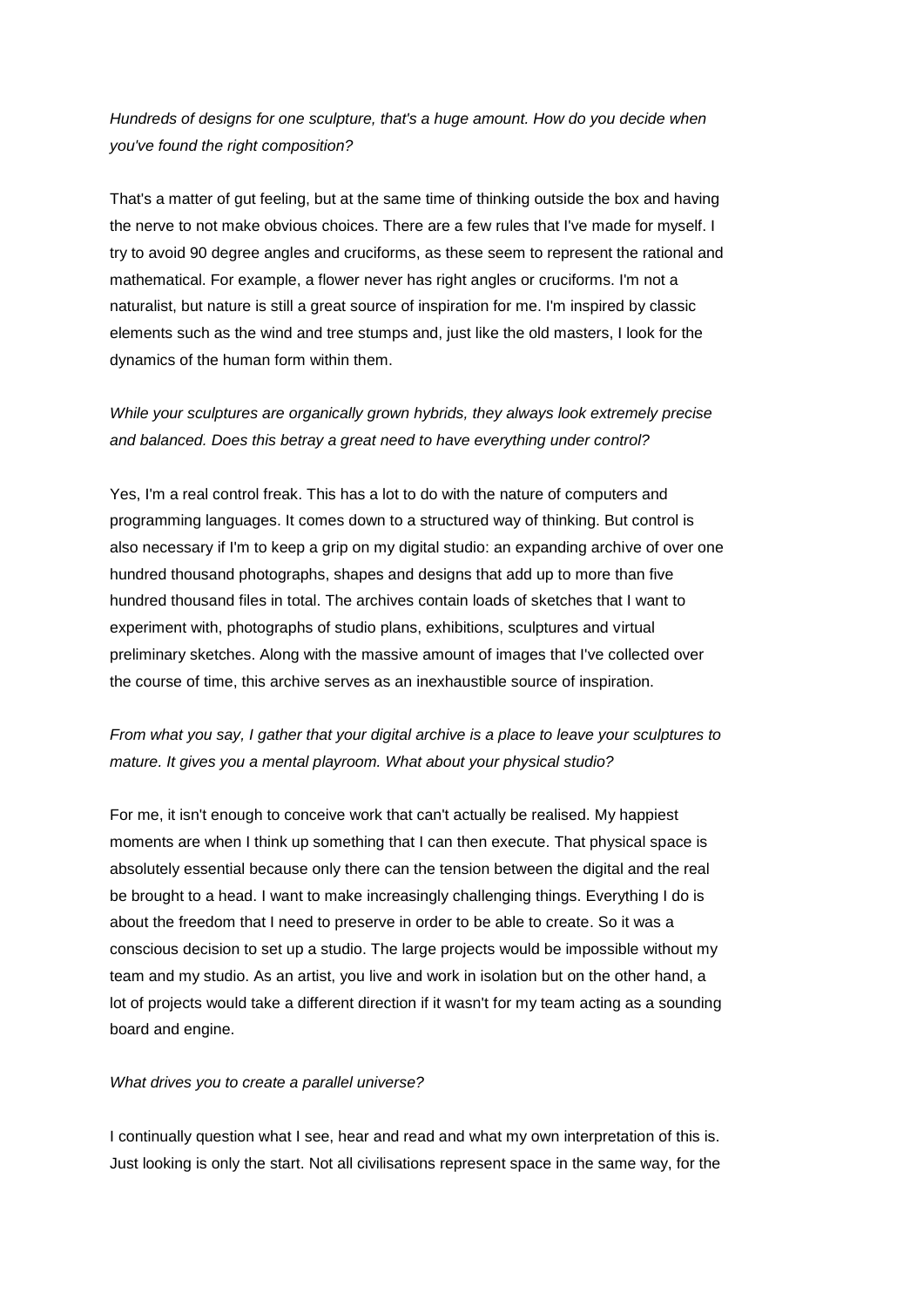## *Hundreds of designs for one sculpture, that's a huge amount. How do you decide when you've found the right composition?*

That's a matter of gut feeling, but at the same time of thinking outside the box and having the nerve to not make obvious choices. There are a few rules that I've made for myself. I try to avoid 90 degree angles and cruciforms, as these seem to represent the rational and mathematical. For example, a flower never has right angles or cruciforms. I'm not a naturalist, but nature is still a great source of inspiration for me. I'm inspired by classic elements such as the wind and tree stumps and, just like the old masters, I look for the dynamics of the human form within them.

## *While your sculptures are organically grown hybrids, they always look extremely precise and balanced. Does this betray a great need to have everything under control?*

Yes, I'm a real control freak. This has a lot to do with the nature of computers and programming languages. It comes down to a structured way of thinking. But control is also necessary if I'm to keep a grip on my digital studio: an expanding archive of over one hundred thousand photographs, shapes and designs that add up to more than five hundred thousand files in total. The archives contain loads of sketches that I want to experiment with, photographs of studio plans, exhibitions, sculptures and virtual preliminary sketches. Along with the massive amount of images that I've collected over the course of time, this archive serves as an inexhaustible source of inspiration.

## *From what you say, I gather that your digital archive is a place to leave your sculptures to mature. It gives you a mental playroom. What about your physical studio?*

For me, it isn't enough to conceive work that can't actually be realised. My happiest moments are when I think up something that I can then execute. That physical space is absolutely essential because only there can the tension between the digital and the real be brought to a head. I want to make increasingly challenging things. Everything I do is about the freedom that I need to preserve in order to be able to create. So it was a conscious decision to set up a studio. The large projects would be impossible without my team and my studio. As an artist, you live and work in isolation but on the other hand, a lot of projects would take a different direction if it wasn't for my team acting as a sounding board and engine.

#### *What drives you to create a parallel universe?*

I continually question what I see, hear and read and what my own interpretation of this is. Just looking is only the start. Not all civilisations represent space in the same way, for the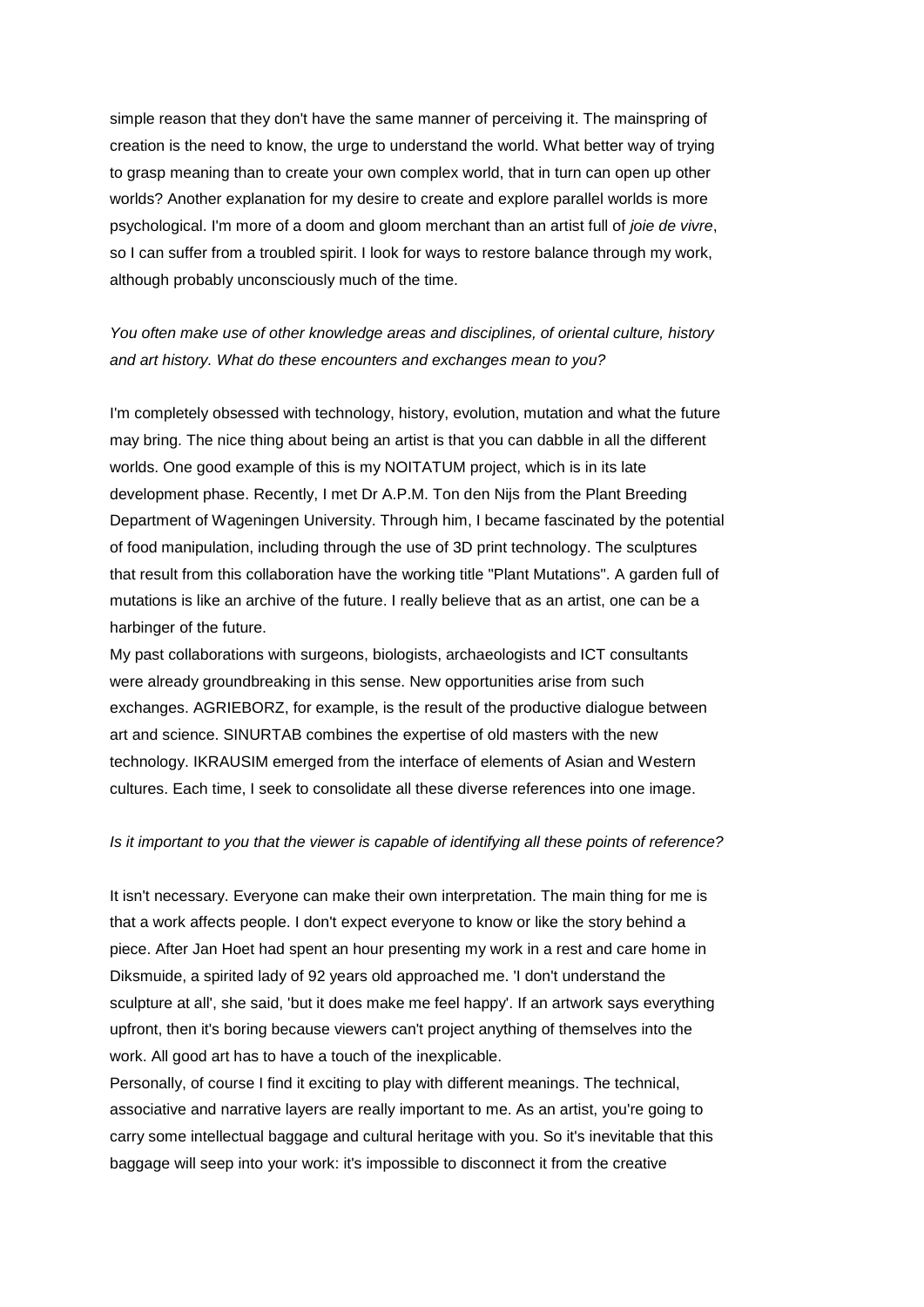simple reason that they don't have the same manner of perceiving it. The mainspring of creation is the need to know, the urge to understand the world. What better way of trying to grasp meaning than to create your own complex world, that in turn can open up other worlds? Another explanation for my desire to create and explore parallel worlds is more psychological. I'm more of a doom and gloom merchant than an artist full of *joie de vivre*, so I can suffer from a troubled spirit. I look for ways to restore balance through my work, although probably unconsciously much of the time.

## *You often make use of other knowledge areas and disciplines, of oriental culture, history and art history. What do these encounters and exchanges mean to you?*

I'm completely obsessed with technology, history, evolution, mutation and what the future may bring. The nice thing about being an artist is that you can dabble in all the different worlds. One good example of this is my NOITATUM project, which is in its late development phase. Recently, I met Dr A.P.M. Ton den Nijs from the Plant Breeding Department of Wageningen University. Through him, I became fascinated by the potential of food manipulation, including through the use of 3D print technology. The sculptures that result from this collaboration have the working title "Plant Mutations". A garden full of mutations is like an archive of the future. I really believe that as an artist, one can be a harbinger of the future.

My past collaborations with surgeons, biologists, archaeologists and ICT consultants were already groundbreaking in this sense. New opportunities arise from such exchanges. AGRIEBORZ, for example, is the result of the productive dialogue between art and science. SINURTAB combines the expertise of old masters with the new technology. IKRAUSIM emerged from the interface of elements of Asian and Western cultures. Each time, I seek to consolidate all these diverse references into one image.

#### *Is it important to you that the viewer is capable of identifying all these points of reference?*

It isn't necessary. Everyone can make their own interpretation. The main thing for me is that a work affects people. I don't expect everyone to know or like the story behind a piece. After Jan Hoet had spent an hour presenting my work in a rest and care home in Diksmuide, a spirited lady of 92 years old approached me. 'I don't understand the sculpture at all', she said, 'but it does make me feel happy'. If an artwork says everything upfront, then it's boring because viewers can't project anything of themselves into the work. All good art has to have a touch of the inexplicable.

Personally, of course I find it exciting to play with different meanings. The technical, associative and narrative layers are really important to me. As an artist, you're going to carry some intellectual baggage and cultural heritage with you. So it's inevitable that this baggage will seep into your work: it's impossible to disconnect it from the creative